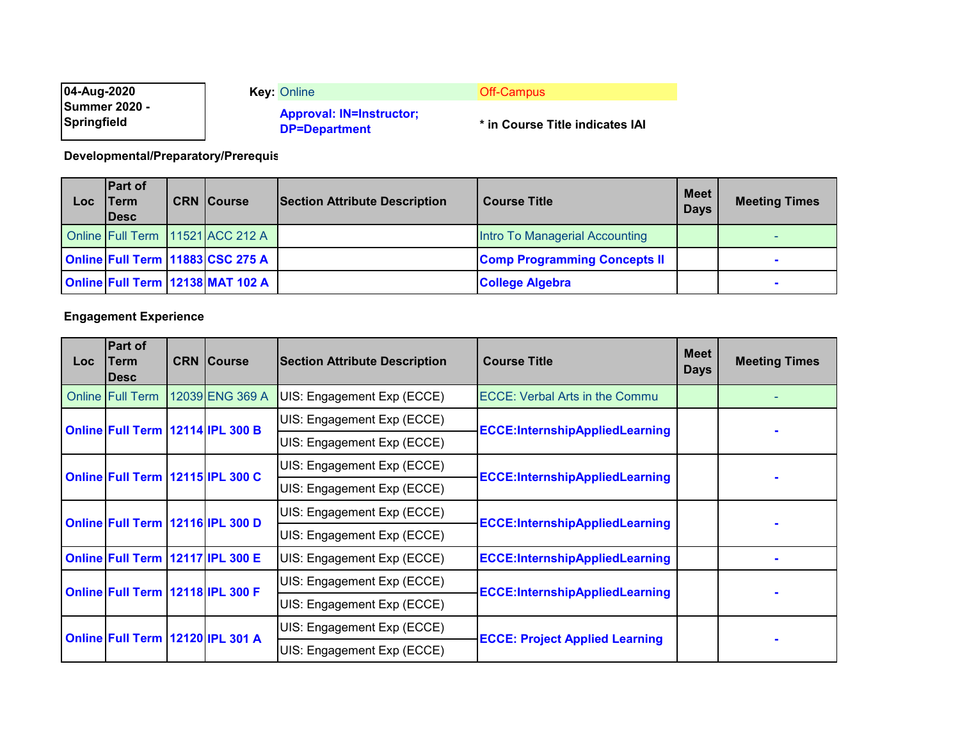| 04-Aug-2020<br><b>Summer 2020 -</b> | <b>Key: Online</b><br><b>Approval: IN=Instructor;</b> | Off-Campus                      |
|-------------------------------------|-------------------------------------------------------|---------------------------------|
| Springfield                         | <b>DP=Department</b>                                  | * in Course Title indicates IAI |

**Developmental/Preparatory/Prerequis**

| Loc | <b>Part of</b><br>lTerm<br><b>IDesc</b> | <b>CRN Course</b>                | <b>Section Attribute Description</b> | <b>Course Title</b>                 | <b>Meet</b><br><b>Days</b> | <b>Meeting Times</b> |
|-----|-----------------------------------------|----------------------------------|--------------------------------------|-------------------------------------|----------------------------|----------------------|
|     |                                         | Online Full Term 11521 ACC 212 A |                                      | Intro To Managerial Accounting      |                            |                      |
|     |                                         | Online Full Term 11883 CSC 275 A |                                      | <b>Comp Programming Concepts II</b> |                            |                      |
|     |                                         | Online Full Term 12138 MAT 102 A |                                      | <b>College Algebra</b>              |                            |                      |

## **Engagement Experience**

| <b>Loc</b>                       | <b>Part of</b><br>Term<br><b>IDesc</b> |  | <b>CRN Course</b>                                                   | <b>Section Attribute Description</b>  | <b>Course Title</b>                   | <b>Meet</b><br><b>Days</b> | <b>Meeting Times</b> |
|----------------------------------|----------------------------------------|--|---------------------------------------------------------------------|---------------------------------------|---------------------------------------|----------------------------|----------------------|
|                                  | <b>Online Full Term</b>                |  | 12039 ENG 369 A                                                     | UIS: Engagement Exp (ECCE)            | <b>ECCE: Verbal Arts in the Commu</b> |                            |                      |
|                                  |                                        |  |                                                                     | UIS: Engagement Exp (ECCE)            |                                       |                            |                      |
| Online Full Term 12114 IPL 300 B |                                        |  | <b>ECCE:InternshipAppliedLearning</b><br>UIS: Engagement Exp (ECCE) |                                       |                                       |                            |                      |
| Online Full Term 12115 IPL 300 C |                                        |  | UIS: Engagement Exp (ECCE)                                          | <b>ECCE:InternshipAppliedLearning</b> |                                       |                            |                      |
|                                  |                                        |  | UIS: Engagement Exp (ECCE)                                          |                                       |                                       |                            |                      |
|                                  |                                        |  | Online Full Term 12116 IPL 300 D                                    | UIS: Engagement Exp (ECCE)            | <b>ECCE:InternshipAppliedLearning</b> |                            |                      |
|                                  |                                        |  |                                                                     | UIS: Engagement Exp (ECCE)            |                                       |                            |                      |
|                                  | Online Full Term 12117 IPL 300 E       |  |                                                                     | UIS: Engagement Exp (ECCE)            | <b>ECCE:InternshipAppliedLearning</b> |                            |                      |
|                                  | Online Full Term 12118 IPL 300 F       |  |                                                                     | UIS: Engagement Exp (ECCE)            |                                       |                            |                      |
|                                  |                                        |  |                                                                     | UIS: Engagement Exp (ECCE)            | <b>ECCE:InternshipAppliedLearning</b> |                            |                      |
|                                  |                                        |  |                                                                     | UIS: Engagement Exp (ECCE)            |                                       |                            |                      |
|                                  | Online Full Term 12120 IPL 301 A       |  |                                                                     | UIS: Engagement Exp (ECCE)            | <b>ECCE: Project Applied Learning</b> |                            |                      |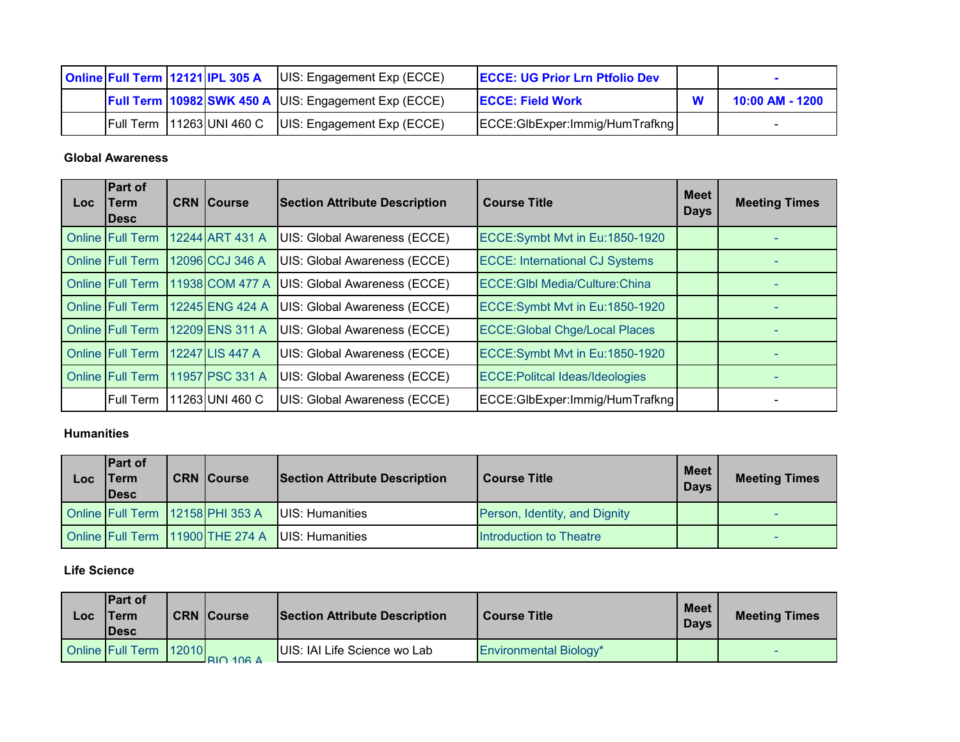|  | Online Full Term 12121 IPL 305 A | UIS: Engagement Exp (ECCE)                                  | <b>ECCE: UG Prior Lrn Ptfolio Dev</b> |                 |
|--|----------------------------------|-------------------------------------------------------------|---------------------------------------|-----------------|
|  |                                  | <b>Full Term 10982 SWK 450 A UIS: Engagement Exp (ECCE)</b> | <b>IECCE: Field Work</b>              | 10:00 AM - 1200 |
|  | <b>Full Term 11263 UNI 460 C</b> | UIS: Engagement Exp (ECCE)                                  | ECCE:GlbExper:Immig/HumTrafkng        |                 |

### **Global Awareness**

| Loc | <b>Part of</b><br>Term<br>lDesc | <b>CRN Course</b> | <b>Section Attribute Description</b> | <b>Course Title</b>                    | <b>Meet</b><br><b>Days</b> | <b>Meeting Times</b> |
|-----|---------------------------------|-------------------|--------------------------------------|----------------------------------------|----------------------------|----------------------|
|     | <b>Online Full Term</b>         | 12244 ART 431 A   | UIS: Global Awareness (ECCE)         | ECCE:Symbt Mvt in Eu:1850-1920         |                            |                      |
|     | <b>Online Full Term</b>         | 12096 CCJ 346 A   | UIS: Global Awareness (ECCE)         | <b>ECCE: International CJ Systems</b>  |                            |                      |
|     | <b>Online Full Term</b>         | 11938 COM 477 A   | UIS: Global Awareness (ECCE)         | <b>ECCE: GIbl Media/Culture: China</b> |                            |                      |
|     | <b>Online Full Term</b>         | 12245 ENG 424 A   | UIS: Global Awareness (ECCE)         | ECCE:Symbt Mvt in Eu:1850-1920         |                            |                      |
|     | <b>Online Full Term</b>         | 12209 ENS 311 A   | UIS: Global Awareness (ECCE)         | <b>ECCE:Global Chge/Local Places</b>   |                            |                      |
|     | <b>Online Full Term</b>         | 12247 LIS 447 A   | UIS: Global Awareness (ECCE)         | ECCE:Symbt Mvt in Eu:1850-1920         |                            |                      |
|     | <b>Online Full Term</b>         | 11957 PSC 331 A   | UIS: Global Awareness (ECCE)         | <b>ECCE: Politcal Ideas/Ideologies</b> |                            |                      |
|     | <b>Full Term</b>                | 11263 UNI 460 C   | UIS: Global Awareness (ECCE)         | ECCE:GlbExper:Immig/HumTrafkng         |                            |                      |

#### **Humanities**

| $\overline{\mathsf{Loc}}$ | <b>IPart of</b><br>Term<br><b>IDesc</b> | <b>CRN Course</b>                | <b>Section Attribute Description</b> | <b>Course Title</b>           | Meet<br><b>Days</b> | <b>Meeting Times</b> |
|---------------------------|-----------------------------------------|----------------------------------|--------------------------------------|-------------------------------|---------------------|----------------------|
|                           | Online Full Term 12158 PHI 353 A        |                                  | UIS: Humanities                      | Person, Identity, and Dignity |                     |                      |
|                           |                                         | Online Full Term 11900 THE 274 A | UIS: Humanities                      | Introduction to Theatre       |                     |                      |

### **Life Science**

| Loc | <b>IPart of</b><br>Term<br><b>IDesc</b> | <b>CRN Course</b>      | <b>Section Attribute Description</b> | <b>Course Title</b>           | <b>Meet</b><br><b>Days</b> | <b>Meeting Times</b> |
|-----|-----------------------------------------|------------------------|--------------------------------------|-------------------------------|----------------------------|----------------------|
|     | <b>Online Full Term 12010</b>           | $R$ $\cap$ 108 $\land$ | UIS: IAI Life Science wo Lab         | <b>Environmental Biology*</b> |                            |                      |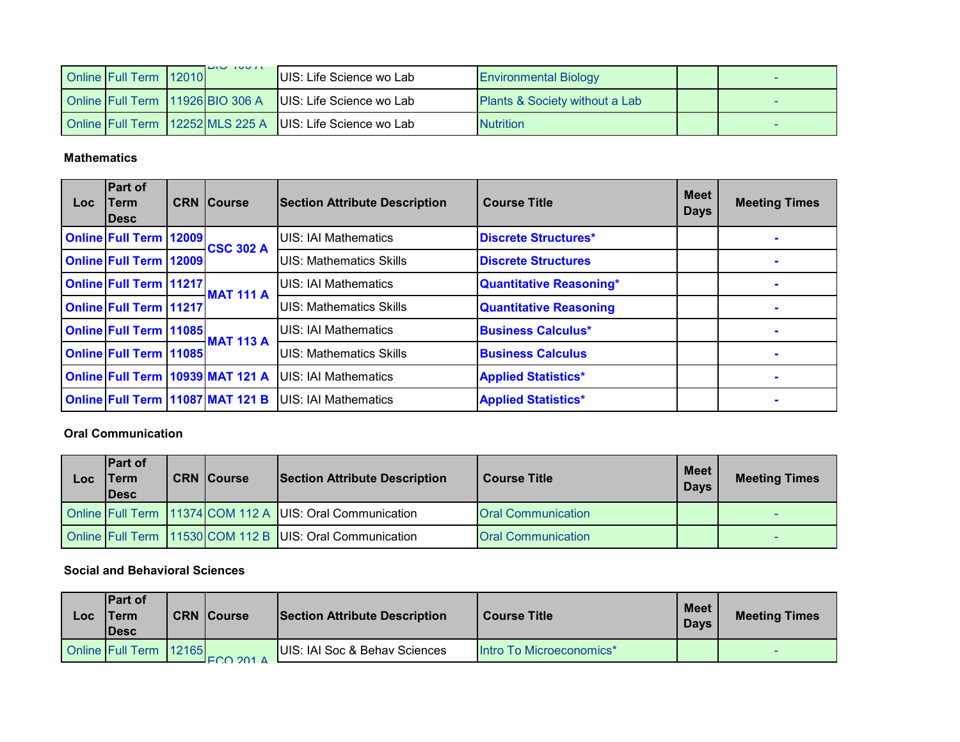| <b>Online Full Term 12010</b> | <b>DIVITUUT</b>                  | UIS: Life Science wo Lab                                  | <b>Environmental Biology</b>              |  |
|-------------------------------|----------------------------------|-----------------------------------------------------------|-------------------------------------------|--|
|                               | Online Full Term 11926 BIO 306 A | UIS: Life Science wo Lab                                  | <b>Plants &amp; Society without a Lab</b> |  |
|                               |                                  | Online Full Term 12252 MLS 225 A UIS: Life Science wo Lab | <b>Nutrition</b>                          |  |

#### **Mathematics**

| <b>Loc</b> | <b>Part of</b><br>Term<br><b>IDesc</b> | <b>CRN Course</b>                | <b>Section Attribute Description</b> | <b>Course Title</b>           | <b>Meet</b><br><b>Days</b> | <b>Meeting Times</b> |
|------------|----------------------------------------|----------------------------------|--------------------------------------|-------------------------------|----------------------------|----------------------|
|            | <b>Online Full Term 12009</b>          | <b>CSC 302 A</b>                 | <b>UIS: IAI Mathematics</b>          | Discrete Structures*          |                            |                      |
|            | <b>Online Full Term 12009</b>          |                                  | UIS: Mathematics Skills              | <b>Discrete Structures</b>    |                            |                      |
|            | <b>Online Full Term 11217</b>          | <b>MAT 111 A</b>                 | UIS: IAI Mathematics                 | Quantitative Reasoning*       |                            |                      |
|            | <b>Online Full Term 11217</b>          |                                  | <b>UIS: Mathematics Skills</b>       | <b>Quantitative Reasoning</b> |                            |                      |
|            | <b>Online Full Term 11085</b>          | <b>MAT 113 A</b>                 | <b>UIS: IAI Mathematics</b>          | <b>Business Calculus*</b>     |                            |                      |
|            | <b>Online Full Term 11085</b>          |                                  | <b>UIS: Mathematics Skills</b>       | <b>Business Calculus</b>      |                            |                      |
|            |                                        | Online Full Term 10939 MAT 121 A | <b>UIS: IAI Mathematics</b>          | <b>Applied Statistics*</b>    |                            |                      |
|            |                                        | Online Full Term 11087 MAT 121 B | <b>UIS: IAI Mathematics</b>          | <b>Applied Statistics*</b>    |                            | $\blacksquare$       |

#### **Oral Communication**

| <b>LOC</b> | <b>IPart of</b><br><b>Term</b><br><b>IDesc</b> | <b>CRN Course</b> | <b>Section Attribute Description</b>                     | <b>Course Title</b>       | <b>Meet</b><br><b>Days</b> | <b>Meeting Times</b> |
|------------|------------------------------------------------|-------------------|----------------------------------------------------------|---------------------------|----------------------------|----------------------|
|            |                                                |                   | Online Full Term 11374 COM 112 A UIS: Oral Communication | <b>Oral Communication</b> |                            |                      |
|            |                                                |                   | Online Full Term 11530 COM 112 B UIS: Oral Communication | <b>Oral Communication</b> |                            |                      |

#### **Social and Behavioral Sciences**

| $\overline{\mathsf{C}}$ | <b>IPart of</b><br><b>Term</b><br><b>IDesc</b> | <b>CRN Course</b>                                                 | <b>Section Attribute Description</b> | <b>Course Title</b>      | <b>Meet</b><br><b>Days</b> | <b>Meeting Times</b> |
|-------------------------|------------------------------------------------|-------------------------------------------------------------------|--------------------------------------|--------------------------|----------------------------|----------------------|
|                         | <b>Online Full Term 12165</b>                  | $\Gamma$ $\Gamma$ $\cap$ $\cap$ $\cap$ $\wedge$ $\wedge$ $\wedge$ | UIS: IAI Soc & Behav Sciences        | Intro To Microeconomics* |                            |                      |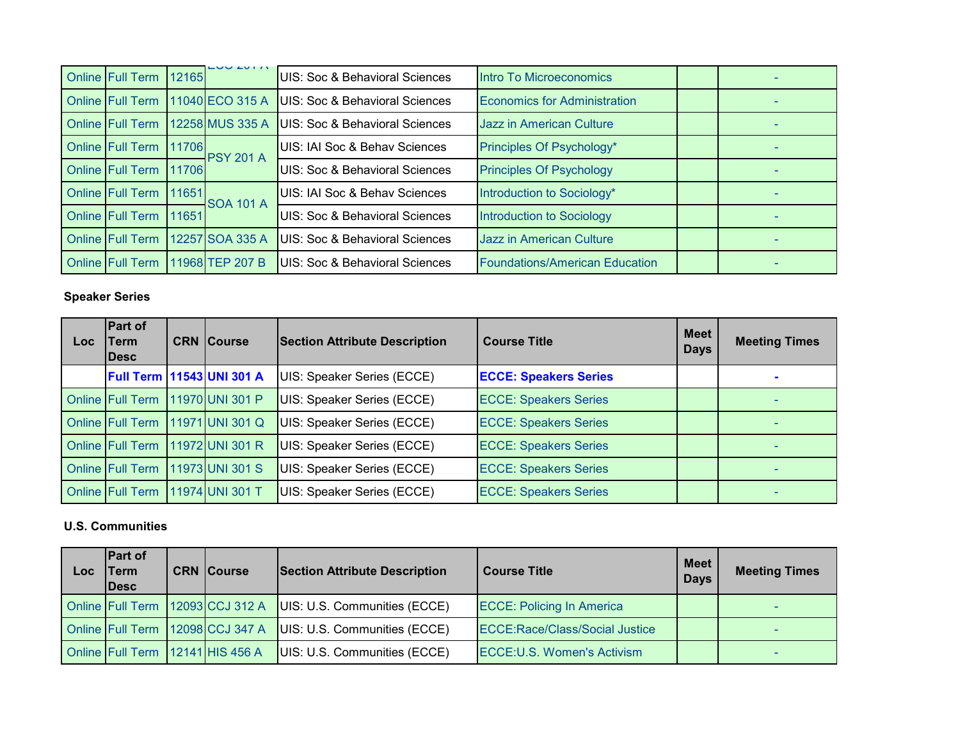| Online Full Term        | 12165 | LUU ZUI F                        | UIS: Soc & Behavioral Sciences            | Intro To Microeconomics               |  |
|-------------------------|-------|----------------------------------|-------------------------------------------|---------------------------------------|--|
|                         |       | Online Full Term 11040 ECO 315 A | <b>UIS: Soc &amp; Behavioral Sciences</b> | <b>Economics for Administration</b>   |  |
|                         |       | Online Full Term 12258 MUS 335 A | UIS: Soc & Behavioral Sciences            | Jazz in American Culture              |  |
| Online Full Term 11706  |       | <b>PSY 201 A</b>                 | UIS: IAI Soc & Behav Sciences             | Principles Of Psychology*             |  |
| Online Full Term 11706  |       |                                  | UIS: Soc & Behavioral Sciences            | <b>Principles Of Psychology</b>       |  |
| <b>Online Full Term</b> | 11651 | <b>SOA 101 A</b>                 | UIS: IAI Soc & Behav Sciences             | Introduction to Sociology*            |  |
| <b>Online Full Term</b> | 11651 |                                  | UIS: Soc & Behavioral Sciences            | Introduction to Sociology             |  |
| <b>Online Full Term</b> |       | 12257 SOA 335 A                  | UIS: Soc & Behavioral Sciences            | <b>Jazz in American Culture</b>       |  |
|                         |       | Online Full Term 11968 TEP 207 B | UIS: Soc & Behavioral Sciences            | <b>Foundations/American Education</b> |  |

# **Speaker Series**

| Loc. | Part of<br>Term<br><b>IDesc</b>  | <b>CRN Course</b>                | <b>Section Attribute Description</b> | <b>Meet</b><br><b>Course Title</b><br><b>Days</b> |  | <b>Meeting Times</b> |
|------|----------------------------------|----------------------------------|--------------------------------------|---------------------------------------------------|--|----------------------|
|      | Full Term   11543 UNI 301 A      |                                  | UIS: Speaker Series (ECCE)           | <b>ECCE: Speakers Series</b>                      |  |                      |
|      | Online Full Term 11970 UNI 301 P |                                  | UIS: Speaker Series (ECCE)           | <b>ECCE: Speakers Series</b>                      |  |                      |
|      |                                  | Online Full Term 11971 UNI 301 Q | UIS: Speaker Series (ECCE)           | <b>ECCE: Speakers Series</b>                      |  |                      |
|      |                                  | Online Full Term 11972 UNI 301 R | UIS: Speaker Series (ECCE)           | <b>ECCE: Speakers Series</b>                      |  |                      |
|      | Online Full Term                 | 11973 UNI 301 S                  | UIS: Speaker Series (ECCE)           | <b>ECCE: Speakers Series</b>                      |  |                      |
|      | <b>Online Full Term</b>          | 11974 UNI 301 T                  | UIS: Speaker Series (ECCE)           | <b>ECCE: Speakers Series</b>                      |  |                      |

## **U.S. Communities**

| Loc | <b>Part of</b><br>Term<br><b>IDesc</b> | <b>CRN Course</b>                | <b>Section Attribute Description</b> | <b>Course Title</b>                   | Meet<br><b>Days</b> | <b>Meeting Times</b> |
|-----|----------------------------------------|----------------------------------|--------------------------------------|---------------------------------------|---------------------|----------------------|
|     |                                        | Online Full Term 12093 CCJ 312 A | UIS: U.S. Communities (ECCE)         | <b>ECCE: Policing In America</b>      |                     |                      |
|     |                                        | Online Full Term 12098 CCJ 347 A | UIS: U.S. Communities (ECCE)         | <b>ECCE:Race/Class/Social Justice</b> |                     |                      |
|     | Online Full Term 12141 HIS 456 A       |                                  | UIS: U.S. Communities (ECCE)         | ECCE: U.S. Women's Activism           |                     |                      |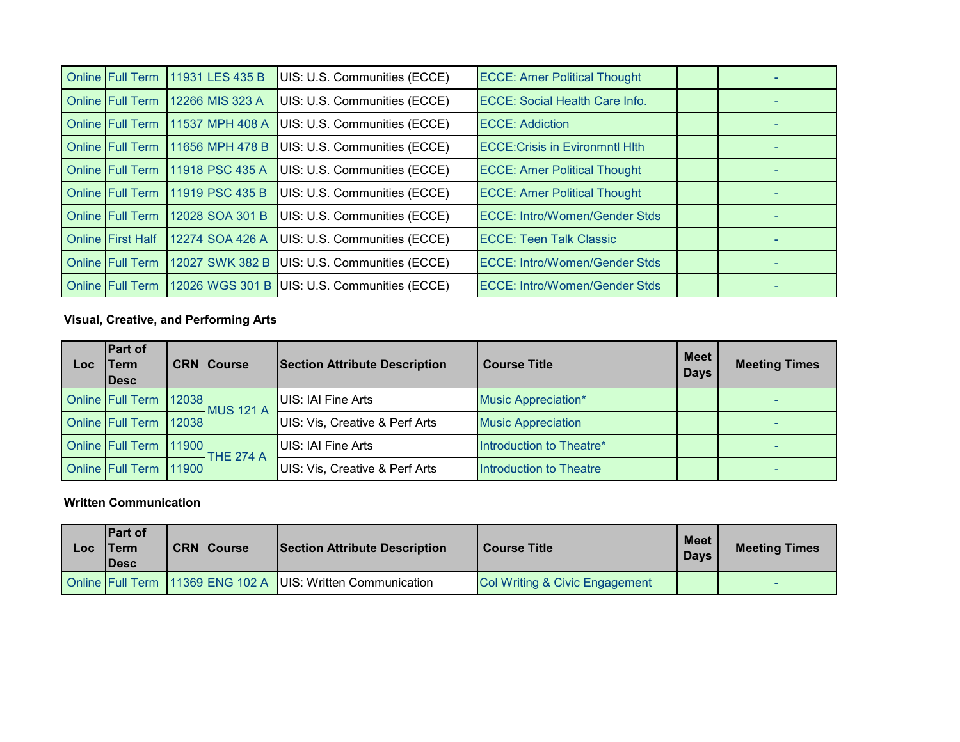| <b>Online Full Term</b>  | 11931 LES 435 B | UIS: U.S. Communities (ECCE) | <b>ECCE: Amer Political Thought</b>    |  |  |
|--------------------------|-----------------|------------------------------|----------------------------------------|--|--|
| <b>Online Full Term</b>  | 12266 MIS 323 A | UIS: U.S. Communities (ECCE) | <b>ECCE: Social Health Care Info.</b>  |  |  |
| Online Full Term         | 11537 MPH 408 A | UIS: U.S. Communities (ECCE) | <b>ECCE: Addiction</b>                 |  |  |
| <b>Online Full Term</b>  | 11656 MPH 478 B | UIS: U.S. Communities (ECCE) | <b>ECCE: Crisis in Evironmntl Hith</b> |  |  |
| <b>Online Full Term</b>  | 11918 PSC 435 A | UIS: U.S. Communities (ECCE) | <b>ECCE: Amer Political Thought</b>    |  |  |
| <b>Online Full Term</b>  | 11919 PSC 435 B | UIS: U.S. Communities (ECCE) | <b>ECCE: Amer Political Thought</b>    |  |  |
| <b>Online Full Term</b>  | 12028 SOA 301 B | UIS: U.S. Communities (ECCE) | <b>ECCE: Intro/Women/Gender Stds</b>   |  |  |
| <b>Online First Half</b> | 12274 SOA 426 A | UIS: U.S. Communities (ECCE) | <b>ECCE: Teen Talk Classic</b>         |  |  |
| <b>Online Full Term</b>  | 12027 SWK 382 B | UIS: U.S. Communities (ECCE) | <b>ECCE: Intro/Women/Gender Stds</b>   |  |  |
| <b>Online Full Term</b>  | 12026 WGS 301 B | UIS: U.S. Communities (ECCE) | <b>ECCE: Intro/Women/Gender Stds</b>   |  |  |

## **Visual, Creative, and Performing Arts**

| Loc | <b>Part of</b><br>Term<br><b>IDesc</b> | <b>CRN Course</b> | <b>Section Attribute Description</b> | <b>Course Title</b>        | <b>Meet</b><br><b>Days</b> | <b>Meeting Times</b> |
|-----|----------------------------------------|-------------------|--------------------------------------|----------------------------|----------------------------|----------------------|
|     | Online Full Term 12038                 | <b>MUS 121 A</b>  | UIS: IAI Fine Arts                   | <b>Music Appreciation*</b> |                            |                      |
|     | Online Full Term 12038                 |                   | UIS: Vis, Creative & Perf Arts       | <b>Music Appreciation</b>  |                            |                      |
|     | <b>Online Full Term 11900</b>          | <b>THE 274 A</b>  | UIS: IAI Fine Arts                   | Introduction to Theatre*   |                            |                      |
|     | Online Full Term 11900                 |                   | UIS: Vis, Creative & Perf Arts       | Introduction to Theatre    |                            |                      |

### **Written Communication**

| LOC | <b>IPart of</b><br>'Term<br><b>IDesc</b> | <b>CRN Course</b> | Section Attribute Description                                | <b>Course Title</b>            | Meet I<br><b>Days</b> | <b>Meeting Times</b> |
|-----|------------------------------------------|-------------------|--------------------------------------------------------------|--------------------------------|-----------------------|----------------------|
|     |                                          |                   | Online Full Term 11369 ENG 102 A JUIS: Written Communication | Col Writing & Civic Engagement |                       |                      |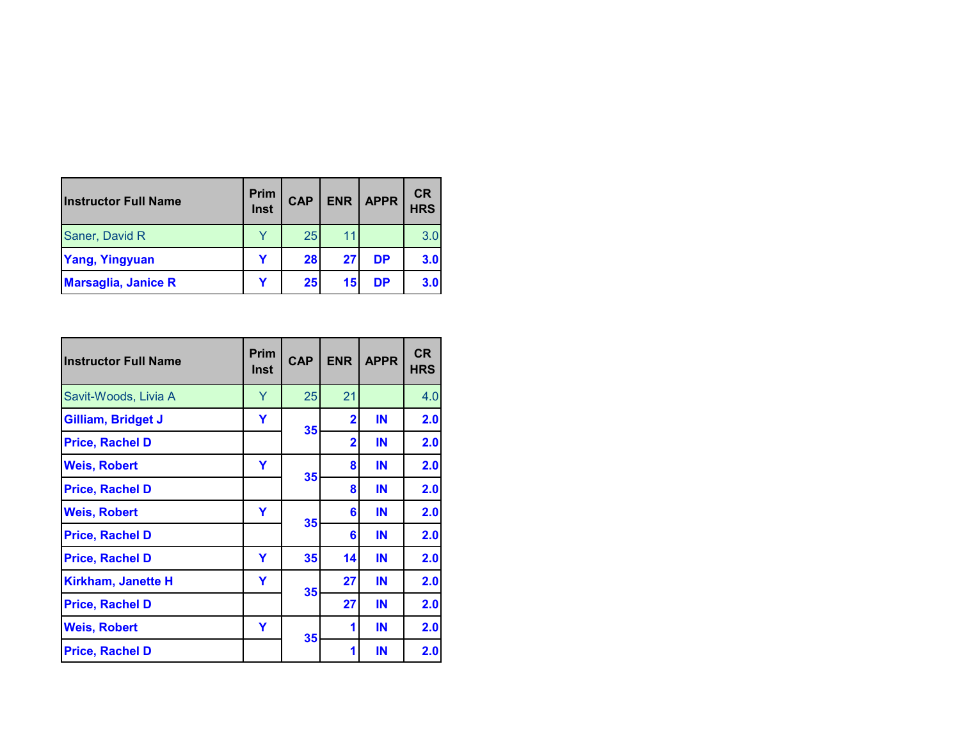| <b>Instructor Full Name</b> | <b>Prim</b><br>Inst | <b>CAP</b> | <b>ENR</b> | <b>APPR</b> | <b>CR</b><br><b>HRS</b> |
|-----------------------------|---------------------|------------|------------|-------------|-------------------------|
| Saner, David R              | v                   | 25         | 11         |             | 3.0                     |
| <b>Yang, Yingyuan</b>       |                     | 28         | 27         | <b>DP</b>   | 3.0                     |
| <b>Marsaglia, Janice R</b>  |                     | 25         | 15         | DP          | 3.0                     |

| <b>Instructor Full Name</b> | Prim<br><b>Inst</b> | <b>CAP</b> | <b>ENR</b>              | <b>APPR</b> | <b>CR</b><br><b>HRS</b> |
|-----------------------------|---------------------|------------|-------------------------|-------------|-------------------------|
| Savit-Woods, Livia A        | Y                   | 25         | 21                      |             | 4.0                     |
| Gilliam, Bridget J          | Y                   | 35         | $\overline{2}$          | IN          | 2.0                     |
| <b>Price, Rachel D</b>      |                     |            | $\overline{\mathbf{2}}$ | IN          | 2.0                     |
| <b>Weis, Robert</b>         | Y                   | 35         | 8                       | IN          | 2.0                     |
| <b>Price, Rachel D</b>      |                     |            | 8                       | IN          | 2.0                     |
| <b>Weis, Robert</b>         | Y                   | 35         | 6                       | IN          | 2.0                     |
| <b>Price, Rachel D</b>      |                     |            | 6                       | IN          | 2.0                     |
| <b>Price, Rachel D</b>      | Y                   | 35         | 14                      | IN          | 2.0                     |
| Kirkham, Janette H          | Y                   | 35         | 27                      | IN          | 2.0                     |
| <b>Price, Rachel D</b>      |                     |            | 27                      | IN          | 2.0                     |
| <b>Weis, Robert</b>         | Y                   | 35         | 1                       | IN          | 2.0                     |
| <b>Price, Rachel D</b>      |                     |            | 1                       | IN          | 2.0                     |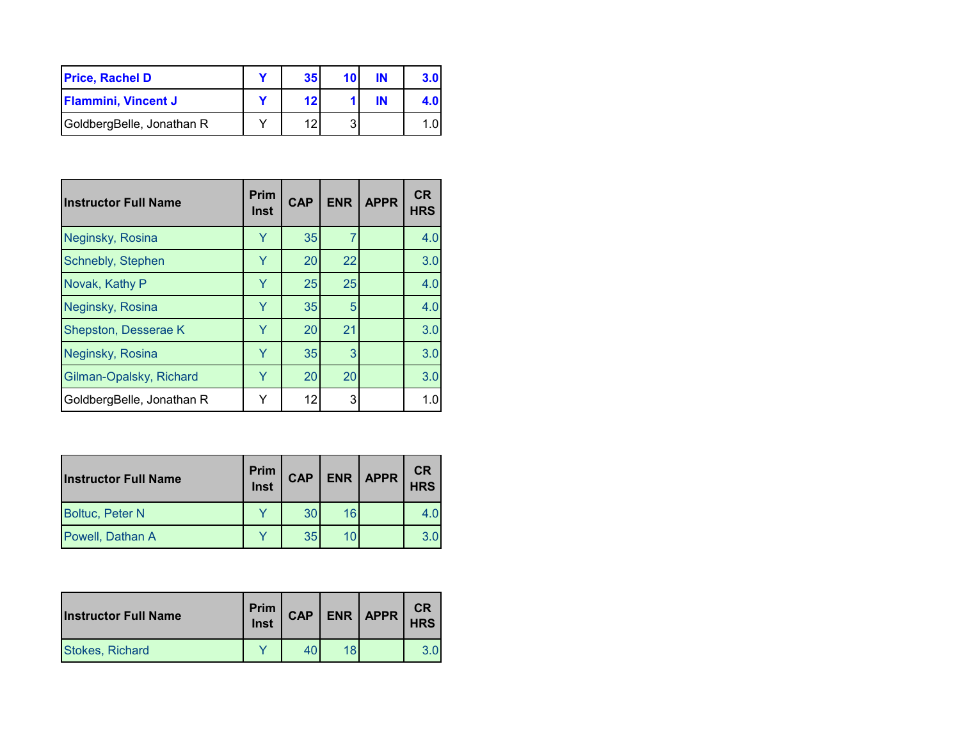| <b>Price, Rachel D</b>     | 35 <sub>1</sub> | 10 | ΙN |  |
|----------------------------|-----------------|----|----|--|
| <b>Flammini, Vincent J</b> | 12              |    | IN |  |
| GoldbergBelle, Jonathan R  |                 |    |    |  |

| <b>Instructor Full Name</b> | <b>Prim</b><br>Inst | <b>CAP</b> | <b>ENR</b> | <b>APPR</b> | <b>CR</b><br><b>HRS</b> |
|-----------------------------|---------------------|------------|------------|-------------|-------------------------|
| Neginsky, Rosina            | Ÿ                   | 35         | 7          |             | 4.0                     |
| Schnebly, Stephen           | Y                   | 20         | 22         |             | 3.0                     |
| Novak, Kathy P              | Y                   | 25         | 25         |             | 4.0                     |
| Neginsky, Rosina            | Y                   | 35         | 5          |             | 4.0                     |
| Shepston, Desserae K        | Y                   | 20         | 21         |             | 3.0                     |
| Neginsky, Rosina            | Y                   | 35         | 3          |             | 3.0                     |
| Gilman-Opalsky, Richard     | Ÿ                   | 20         | 20         |             | 3.0                     |
| GoldbergBelle, Jonathan R   | Y                   | 12         | 3          |             | 1.0                     |

| <b>Instructor Full Name</b> | <b>Prim</b><br>Inst | <b>CAP</b> |    | $ENR$   APPR | <b>CR</b><br><b>HRS</b> |
|-----------------------------|---------------------|------------|----|--------------|-------------------------|
| <b>Boltuc, Peter N</b>      |                     | 30         | 16 |              | 4.0                     |
| Powell, Dathan A            |                     | 35         |    |              | 3.0                     |

| <b>Instructor Full Name</b> | Prim<br>Inst | <b>CAP</b> | ENR   APPR | CR<br><b>HRS</b> |
|-----------------------------|--------------|------------|------------|------------------|
| <b>Stokes, Richard</b>      |              |            |            |                  |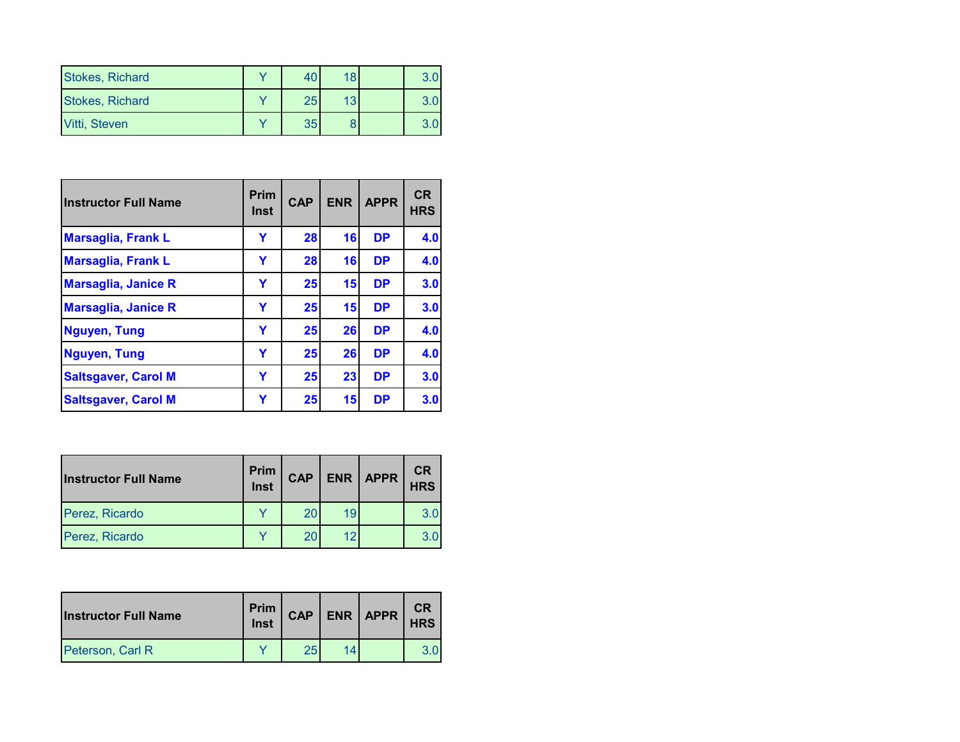| <b>Stokes, Richard</b> |    | 18 |  |
|------------------------|----|----|--|
| <b>Stokes, Richard</b> | 25 | 13 |  |
| Vitti, Steven          | 35 |    |  |

| <b>Instructor Full Name</b> | Prim<br>Inst | <b>CAP</b> | <b>ENR</b> | <b>APPR</b> | <b>CR</b><br><b>HRS</b> |
|-----------------------------|--------------|------------|------------|-------------|-------------------------|
| <b>Marsaglia, Frank L</b>   | Y            | 28         | 16         | <b>DP</b>   | 4.0                     |
| <b>Marsaglia, Frank L</b>   | Ÿ            | 28         | 16         | <b>DP</b>   | 4.0                     |
| <b>Marsaglia, Janice R</b>  | Y            | 25         | 15         | <b>DP</b>   | 3.0                     |
| <b>Marsaglia, Janice R</b>  | Y            | 25         | 15         | <b>DP</b>   | 3.0                     |
| <b>Nguyen, Tung</b>         | Y            | 25         | 26         | <b>DP</b>   | 4.0                     |
| <b>Nguyen, Tung</b>         | Y            | 25         | 26         | <b>DP</b>   | 4.0                     |
| <b>Saltsgaver, Carol M</b>  | Y            | 25         | 23         | <b>DP</b>   | 3.0                     |
| <b>Saltsgaver, Carol M</b>  | Y            | 25         | 15         | <b>DP</b>   | 3.0                     |

| <b>Instructor Full Name</b> | Prim<br>Inst | <b>CAP</b> | <b>ENR</b> | <b>APPR</b> | <b>CR</b><br><b>HRS</b> |
|-----------------------------|--------------|------------|------------|-------------|-------------------------|
| Perez, Ricardo              |              |            | 19         |             | 3.0                     |
| Perez, Ricardo              |              |            |            |             | 3.0                     |

| <b>Instructor Full Name</b> | Prim  <br>Inst | <b>CAP</b> | ENR APPR | <b>CR</b><br><b>HRS</b> |
|-----------------------------|----------------|------------|----------|-------------------------|
| Peterson, Carl R            |                | 25         |          |                         |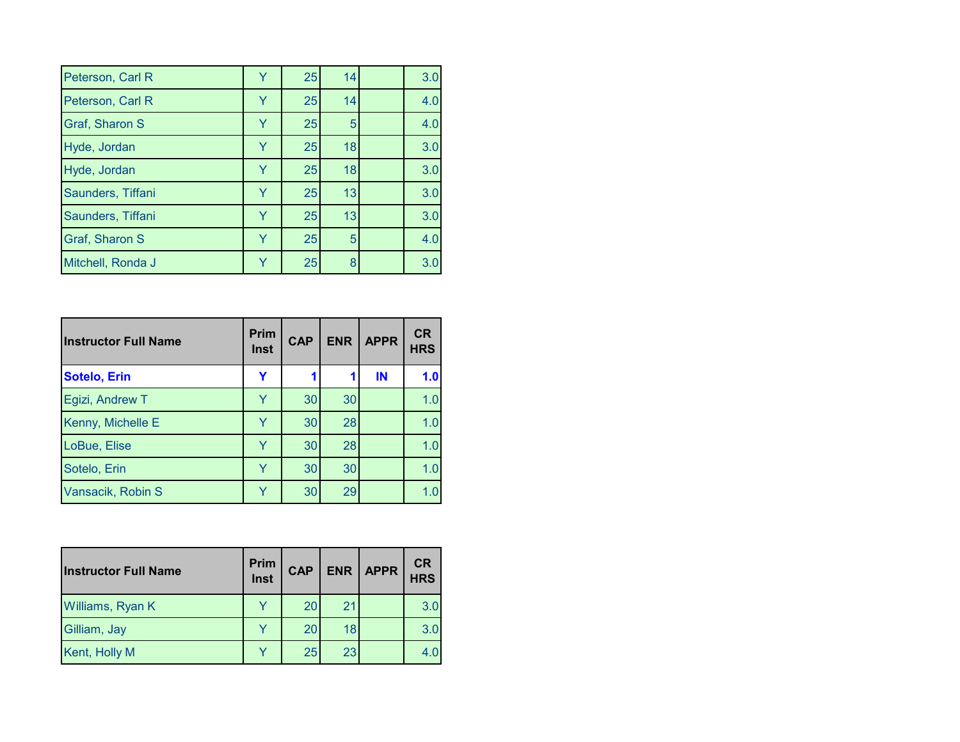| Peterson, Carl R      | Y | 25 | 14 | 3.0 |
|-----------------------|---|----|----|-----|
| Peterson, Carl R      | Y | 25 | 14 | 4.0 |
| <b>Graf, Sharon S</b> | Y | 25 | 5  | 4.0 |
| Hyde, Jordan          | Y | 25 | 18 | 3.0 |
| Hyde, Jordan          | Y | 25 | 18 | 3.0 |
| Saunders, Tiffani     | Y | 25 | 13 | 3.0 |
| Saunders, Tiffani     | Y | 25 | 13 | 3.0 |
| Graf, Sharon S        | Y | 25 | 5  | 4.0 |
| Mitchell, Ronda J     | v | 25 | 8  | 3.0 |

| <b>Instructor Full Name</b> | <b>Prim</b><br><b>Inst</b> | <b>CAP</b> | <b>ENR</b> | <b>APPR</b> | <b>CR</b><br><b>HRS</b> |
|-----------------------------|----------------------------|------------|------------|-------------|-------------------------|
| <b>Sotelo, Erin</b>         | Y                          |            |            | IN          | 1.0                     |
| Egizi, Andrew T             | Y                          | 30         | 30         |             | 1.0                     |
| Kenny, Michelle E           | Y                          | 30         | 28         |             | 1.0                     |
| LoBue, Elise                | Y                          | 30         | 28         |             | 1.0                     |
| Sotelo, Erin                | Y                          | 30         | 30         |             | 1.0                     |
| Vansacik, Robin S           | Y                          | 30         | 29         |             | 1.0                     |

| <b>Instructor Full Name</b> | Prim<br>Inst | <b>CAP</b> |    | ENR   APPR | <b>CR</b><br><b>HRS</b> |
|-----------------------------|--------------|------------|----|------------|-------------------------|
| Williams, Ryan K            |              | 20         | 21 |            | 3.0                     |
| Gilliam, Jay                |              | 20         | 18 |            | 3.0                     |
| Kent, Holly M               |              | 25         | 23 |            |                         |